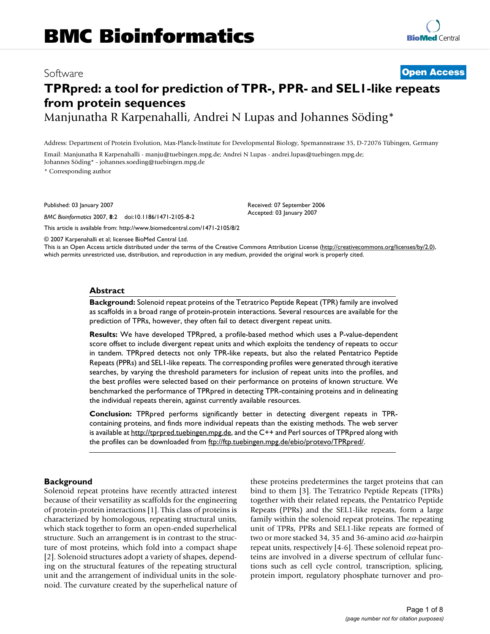# Software **[Open Access](http://www.biomedcentral.com/info/about/charter/)**

# **TPRpred: a tool for prediction of TPR-, PPR- and SEL1-like repeats from protein sequences** Manjunatha R Karpenahalli, Andrei N Lupas and Johannes Söding\*

Address: Department of Protein Evolution, Max-Planck-lnstitute for Developmental Biology, Spemannstrasse 35, D-72076 Tübingen, Germany

Email: Manjunatha R Karpenahalli - manju@tuebingen.mpg.de; Andrei N Lupas - andrei.lupas@tuebingen.mpg.de; Johannes Söding\* - johannes.soeding@tuebingen.mpg.de

\* Corresponding author

Published: 03 January 2007

*BMC Bioinformatics* 2007, **8**:2 doi:10.1186/1471-2105-8-2

[This article is available from: http://www.biomedcentral.com/1471-2105/8/2](http://www.biomedcentral.com/1471-2105/8/2)

© 2007 Karpenahalli et al; licensee BioMed Central Ltd.

This is an Open Access article distributed under the terms of the Creative Commons Attribution License [\(http://creativecommons.org/licenses/by/2.0\)](http://creativecommons.org/licenses/by/2.0), which permits unrestricted use, distribution, and reproduction in any medium, provided the original work is properly cited.

Received: 07 September 2006 Accepted: 03 January 2007

#### **Abstract**

**Background:** Solenoid repeat proteins of the Tetratrico Peptide Repeat (TPR) family are involved as scaffolds in a broad range of protein-protein interactions. Several resources are available for the prediction of TPRs, however, they often fail to detect divergent repeat units.

**Results:** We have developed TPRpred, a profile-based method which uses a P-value-dependent score offset to include divergent repeat units and which exploits the tendency of repeats to occur in tandem. TPRpred detects not only TPR-like repeats, but also the related Pentatrico Peptide Repeats (PPRs) and SEL1-like repeats. The corresponding profiles were generated through iterative searches, by varying the threshold parameters for inclusion of repeat units into the profiles, and the best profiles were selected based on their performance on proteins of known structure. We benchmarked the performance of TPRpred in detecting TPR-containing proteins and in delineating the individual repeats therein, against currently available resources.

**Conclusion:** TPRpred performs significantly better in detecting divergent repeats in TPRcontaining proteins, and finds more individual repeats than the existing methods. The web server is available at [http://tprpred.tuebingen.mpg.de,](http://tprpred.tuebingen.mpg.de) and the C++ and Perl sources of TPRpred along with the profiles can be downloaded from [ftp://ftp.tuebingen.mpg.de/ebio/protevo/TPRpred/.](ftp://ftp.tuebingen.mpg.de/ebio/protevo/TPRpred/)

#### **Background**

Solenoid repeat proteins have recently attracted interest because of their versatility as scaffolds for the engineering of protein-protein interactions [1]. This class of proteins is characterized by homologous, repeating structural units, which stack together to form an open-ended superhelical structure. Such an arrangement is in contrast to the structure of most proteins, which fold into a compact shape [2]. Solenoid structures adopt a variety of shapes, depending on the structural features of the repeating structural unit and the arrangement of individual units in the solenoid. The curvature created by the superhelical nature of these proteins predetermines the target proteins that can bind to them [3]. The Tetratrico Peptide Repeats (TPRs) together with their related repeats, the Pentatrico Peptide Repeats (PPRs) and the SEL1-like repeats, form a large family within the solenoid repeat proteins. The repeating unit of TPRs, PPRs and SEL1-like repeats are formed of two or more stacked 34, 35 and 36-amino acid  $\alpha\alpha$ -hairpin repeat units, respectively [4-6]. These solenoid repeat proteins are involved in a diverse spectrum of cellular functions such as cell cycle control, transcription, splicing, protein import, regulatory phosphate turnover and pro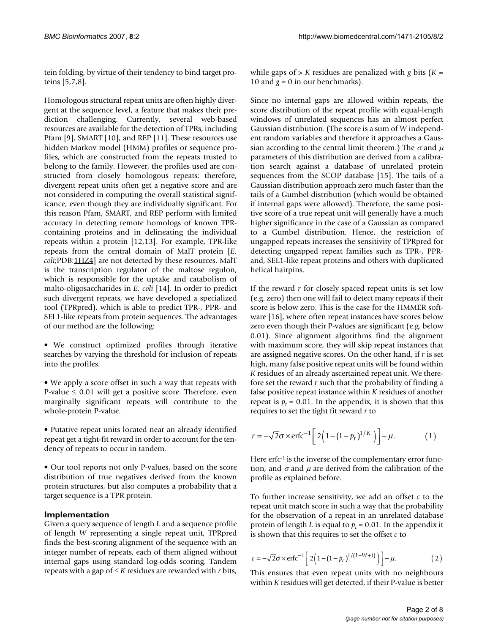tein folding, by virtue of their tendency to bind target proteins [5,7,8].

Homologous structural repeat units are often highly divergent at the sequence level, a feature that makes their prediction challenging. Currently, several web-based resources are available for the detection of TPRs, including Pfam [9], SMART [10], and REP [11]. These resources use hidden Markov model (HMM) profiles or sequence profiles, which are constructed from the repeats trusted to belong to the family. However, the profiles used are constructed from closely homologous repeats; therefore, divergent repeat units often get a negative score and are not considered in computing the overall statistical significance, even though they are individually significant. For this reason Pfam, SMART, and REP perform with limited accuracy in detecting remote homologs of known TPRcontaining proteins and in delineating the individual repeats within a protein [12,13]. For example, TPR-like repeats from the central domain of MalT protein [*E. coli*;PDB[:1HZ4\]](http://www.rcsb.org/pdb/cgi/explore.cgi?pdbId=1HZ4) are not detected by these resources. MalT is the transcription regulator of the maltose regulon, which is responsible for the uptake and catabolism of malto-oligosaccharides in *E. coli* [14]. In order to predict such divergent repeats, we have developed a specialized tool (TPRpred), which is able to predict TPR-, PPR- and SEL1-like repeats from protein sequences. The advantages of our method are the following:

• We construct optimized profiles through iterative searches by varying the threshold for inclusion of repeats into the profiles.

• We apply a score offset in such a way that repeats with P-value  $\leq 0.01$  will get a positive score. Therefore, even marginally significant repeats will contribute to the whole-protein P-value.

• Putative repeat units located near an already identified repeat get a tight-fit reward in order to account for the tendency of repeats to occur in tandem.

• Our tool reports not only P-values, based on the score distribution of true negatives derived from the known protein structures, but also computes a probability that a target sequence is a TPR protein.

#### **Implementation**

Given a query sequence of length *L* and a sequence profile of length *W* representing a single repeat unit, TPRpred finds the best-scoring alignment of the sequence with an integer number of repeats, each of them aligned without internal gaps using standard log-odds scoring. Tandem repeats with a gap of ≤ *K* residues are rewarded with *r* bits,

while gaps of > *K* residues are penalized with *g* bits (*K* = 10 and  $g = 0$  in our benchmarks).

Since no internal gaps are allowed within repeats, the score distribution of the repeat profile with equal-length windows of unrelated sequences has an almost perfect Gaussian distribution. (The score is a sum of *W* independent random variables and therefore it approaches a Gaussian according to the central limit theorem.) The  $\sigma$  and  $\mu$ parameters of this distribution are derived from a calibration search against a database of unrelated protein sequences from the SCOP database [15]. The tails of a Gaussian distribution approach zero much faster than the tails of a Gumbel distribution (which would be obtained if internal gaps were allowed). Therefore, the same positive score of a true repeat unit will generally have a much higher significance in the case of a Gaussian as compared to a Gumbel distribution. Hence, the restriction of ungapped repeats increases the sensitivity of TPRpred for detecting ungapped repeat families such as TPR-, PPRand, SEL1-like repeat proteins and others with duplicated helical hairpins.

If the reward *r* for closely spaced repeat units is set low (e.g. zero) then one will fail to detect many repeats if their score is below zero. This is the case for the HMMER software [16], where often repeat instances have scores below zero even though their P-values are significant (e.g. below 0.01). Since alignment algorithms find the alignment with maximum score, they will skip repeat instances that are assigned negative scores. On the other hand, if *r* is set high, many false positive repeat units will be found within *K* residues of an already ascertained repeat unit. We therefore set the reward *r* such that the probability of finding a false positive repeat instance within *K* residues of another repeat is  $p_r = 0.01$ . In the appendix, it is shown that this requires to set the tight fit reward *r* to

$$
r = -\sqrt{2}\sigma \times \text{erfc}^{-1} \left[ 2\left(1 - \left(1 - p_r\right)^{1/K}\right)\right] - \mu. \tag{1}
$$

Here  $erfc<sup>-1</sup>$  is the inverse of the complementary error function, and  $\sigma$  and  $\mu$  are derived from the calibration of the profile as explained before.

To further increase sensitivity, we add an offset *c* to the repeat unit match score in such a way that the probability for the observation of a repeat in an unrelated database protein of length *L* is equal to  $p_c = 0.01$ . In the appendix it is shown that this requires to set the offset *c* to

$$
c = -\sqrt{2}\sigma \times \text{erfc}^{-1} \left[ 2 \left( 1 - (1 - p_c)^{1/(L-W+1)} \right) \right] - \mu.
$$
 (2)

This ensures that even repeat units with no neighbours within *K* residues will get detected, if their P-value is better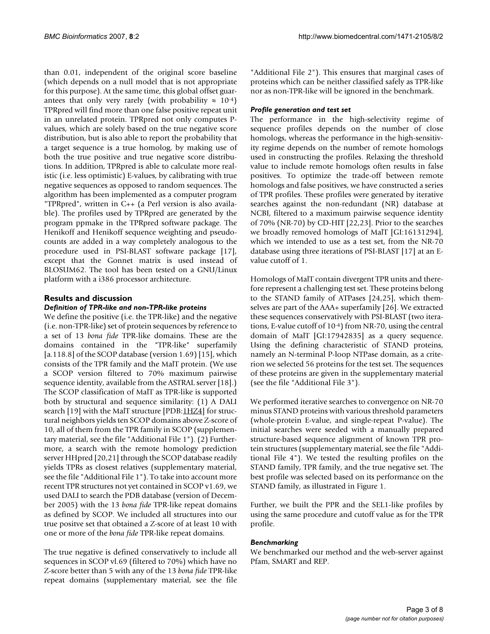than 0.01, independent of the original score baseline (which depends on a null model that is not appropriate for this purpose). At the same time, this global offset guarantees that only very rarely (with probability  $\approx 10^{-4}$ ) TPRpred will find more than one false positive repeat unit in an unrelated protein. TPRpred not only computes Pvalues, which are solely based on the true negative score distribution, but is also able to report the probability that a target sequence is a true homolog, by making use of both the true positive and true negative score distributions. In addition, TPRpred is able to calculate more realistic (i.e. less optimistic) E-values, by calibrating with true negative sequences as opposed to random sequences. The algorithm has been implemented as a computer program "TPRpred", written in C++ (a Perl version is also available). The profiles used by TPRpred are generated by the program ppmake in the TPRpred software package. The Henikoff and Henikoff sequence weighting and pseudocounts are added in a way completely analogous to the procedure used in PSI-BLAST software package [17], except that the Gonnet matrix is used instead of BLOSUM62. The tool has been tested on a GNU/Linux platform with a i386 processor architecture.

# **Results and discussion**

#### *Definition of TPR-like and non-TPR-like proteins*

We define the positive (i.e. the TPR-like) and the negative (i.e. non-TPR-like) set of protein sequences by reference to a set of 13 *bona fide* TPR-like domains. These are the domains contained in the "TPR-like" superfamily [a.118.8] of the SCOP database (version 1.69) [15], which consists of the TPR family and the MalT protein. (We use a SCOP version filtered to 70% maximum pairwise sequence identity, available from the ASTRAL server [18].) The SCOP classification of MalT as TPR-like is supported both by structural and sequence similarity: (1) A DALI search [19] with the MalT structure [PDB[:1HZ4\]](http://www.rcsb.org/pdb/cgi/explore.cgi?pdbId=1HZ4) for structural neighbors yields ten SCOP domains above Z-score of 10, all of them from the TPR family in SCOP (supplementary material, see the file "Additional File 1"). (2) Furthermore, a search with the remote homology prediction server HHpred [20,21] through the SCOP database readily yields TPRs as closest relatives (supplementary material, see the file "Additional File 1"). To take into account more recent TPR structures not yet contained in SCOP v1.69, we used DALI to search the PDB database (version of December 2005) with the 13 *bona fide* TPR-like repeat domains as defined by SCOP. We included all structures into our true positve set that obtained a Z-score of at least 10 with one or more of the *bona fide* TPR-like repeat domains.

The true negative is defined conservatively to include all sequences in SCOP vl.69 (filtered to 70%) which have no Z-score better than 5 with any of the 13 *bona fide* TPR-like repeat domains (supplementary material, see the file

"Additional File 2"). This ensures that marginal cases of proteins which can be neither classified safely as TPR-like nor as non-TPR-like will be ignored in the benchmark.

#### *Profile generation and test set*

The performance in the high-selectivity regime of sequence profiles depends on the number of close homologs, whereas the performance in the high-sensitivity regime depends on the number of remote homologs used in constructing the profiles. Relaxing the threshold value to include remote homologs often results in false positives. To optimize the trade-off between remote homologs and false positives, we have constructed a series of TPR profiles. These profiles were generated by iterative searches against the non-redundant (NR) database at NCBI, filtered to a maximum pairwise sequence identity of 70% (NR-70) by CD-HIT [22,23]. Prior to the searches we broadly removed homologs of MalT [GI:16131294], which we intended to use as a test set, from the NR-70 database using three iterations of PSI-BLAST [17] at an Evalue cutoff of 1.

Homologs of MalT contain divergent TPR units and therefore represent a challenging test set. These proteins belong to the STAND family of ATPases [24,25], which themselves are part of the AAA+ superfamily [26]. We extracted these sequences conservatively with PSI-BLAST (two iterations, E-value cutoff of 10-4) from NR-70, using the central domain of MalT [GI:17942835] as a query sequence. Using the defining characteristic of STAND proteins, namely an N-terminal P-loop NTPase domain, as a criterion we selected 56 proteins for the test set. The sequences of these proteins are given in the supplementary material (see the file "Additional File 3").

We performed iterative searches to convergence on NR-70 minus STAND proteins with various threshold parameters (whole-protein E-value, and single-repeat P-value). The initial searches were seeded with a manually prepared structure-based sequence alignment of known TPR protein structures (supplementary material, see the file "Additional File 4"). We tested the resulting profiles on the STAND family, TPR family, and the true negative set. The best profile was selected based on its performance on the STAND family, as illustrated in Figure 1.

Further, we built the PPR and the SEL1-like profiles by using the same procedure and cutoff value as for the TPR profile.

#### *Benchmarking*

We benchmarked our method and the web-server against Pfam, SMART and REP.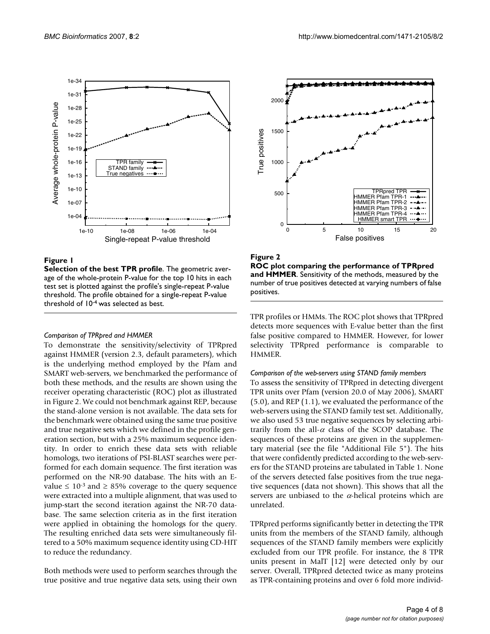

#### **Figure 1**

**Selection of the best TPR profile**. The geometric average of the whole-protein P-value for the top 10 hits in each test set is plotted against the profile's single-repeat P-value threshold. The profile obtained for a single-repeat P-value threshold of 10-4 was selected as best.

#### *Comparison of TPRpred and HMMER*

To demonstrate the sensitivity/selectivity of TPRpred against HMMER (version 2.3, default parameters), which is the underlying method employed by the Pfam and SMART web-servers, we benchmarked the performance of both these methods, and the results are shown using the receiver operating characteristic (ROC) plot as illustrated in Figure 2. We could not benchmark against REP, because the stand-alone version is not available. The data sets for the benchmark were obtained using the same true positive and true negative sets which we defined in the profile generation section, but with a 25% maximum sequence identity. In order to enrich these data sets with reliable homologs, two iterations of PSI-BLAST searches were performed for each domain sequence. The first iteration was performed on the NR-90 database. The hits with an Evalue ≤ 10<sup>-3</sup> and ≥ 85% coverage to the query sequence were extracted into a multiple alignment, that was used to jump-start the second iteration against the NR-70 database. The same selection criteria as in the first iteration were applied in obtaining the homologs for the query. The resulting enriched data sets were simultaneously filtered to a 50% maximum sequence identity using CD-HIT to reduce the redundancy.

Both methods were used to perform searches through the true positive and true negative data sets, using their own



**Figure 2 ROC plot comparing the performance of TPRpred and HMMER**. Sensitivity of the methods, measured by the number of true positives detected at varying numbers of false positives.

TPR profiles or HMMs. The ROC plot shows that TPRpred detects more sequences with E-value better than the first false positive compared to HMMER. However, for lower selectivity TPRpred performance is comparable to HMMER.

#### *Comparison of the web-servers using STAND family members*

To assess the sensitivity of TPRpred in detecting divergent TPR units over Pfam (version 20.0 of May 2006), SMART (5.0), and REP (1.1), we evaluated the performance of the web-servers using the STAND family test set. Additionally, we also used 53 true negative sequences by selecting arbitrarily from the all- $\alpha$  class of the SCOP database. The sequences of these proteins are given in the supplementary material (see the file "Additional File 5"). The hits that were confidently predicted according to the web-servers for the STAND proteins are tabulated in Table 1. None of the servers detected false positives from the true negative sequences (data not shown). This shows that all the servers are unbiased to the  $\alpha$ -helical proteins which are unrelated.

TPRpred performs significantly better in detecting the TPR units from the members of the STAND family, although sequences of the STAND family members were explicitly excluded from our TPR profile. For instance, the 8 TPR units present in MalT [12] were detected only by our server. Overall, TPRpred detected twice as many proteins as TPR-containing proteins and over 6 fold more individ-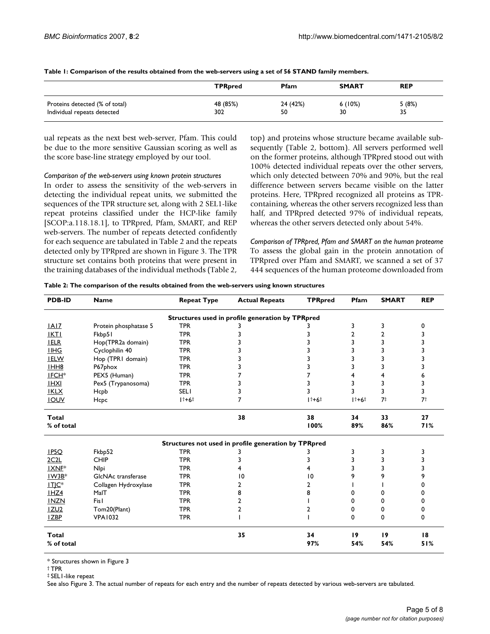|                                | <b>TPR</b> pred | Pfam     | <b>SMART</b> | <b>REP</b> |
|--------------------------------|-----------------|----------|--------------|------------|
| Proteins detected (% of total) | 48 (85%)        | 24 (42%) | 6(10%)       | 5(8%)      |
| Individual repeats detected    | 302             | 50       | 30           | 35         |

**Table 1: Comparison of the results obtained from the web-servers using a set of 56 STAND family members.**

ual repeats as the next best web-server, Pfam. This could be due to the more sensitive Gaussian scoring as well as the score base-line strategy employed by our tool.

*Comparison of the web-servers using known protein structures*

In order to assess the sensitivity of the web-servers in detecting the individual repeat units, we submitted the sequences of the TPR structure set, along with 2 SEL1-like repeat proteins classified under the HCP-like family [SCOP:a.118.18.1], to TPRpred, Pfam, SMART, and REP web-servers. The number of repeats detected confidently for each sequence are tabulated in Table 2 and the repeats detected only by TPRpred are shown in Figure 3. The TPR structure set contains both proteins that were present in the training databases of the individual methods (Table 2, top) and proteins whose structure became available subsequently (Table 2, bottom). All servers performed well on the former proteins, although TPRpred stood out with 100% detected individual repeats over the other servers, which only detected between 70% and 90%, but the real difference between servers became visible on the latter proteins. Here, TPRpred recognized all proteins as TPRcontaining, whereas the other servers recognized less than half, and TPRpred detected 97% of individual repeats, whereas the other servers detected only about 54%.

*Comparison of TPRpred, Pfam and SMART on the human proteome* To assess the global gain in the protein annotation of TPRpred over Pfam and SMART, we scanned a set of 37 444 sequences of the human proteome downloaded from

|  |  | Table 2: The comparison of the results obtained from the web-servers using known structures |  |
|--|--|---------------------------------------------------------------------------------------------|--|
|  |  |                                                                                             |  |

| <b>PDB-ID</b>     | <b>Name</b>           | <b>Repeat Type</b> | <b>Actual Repeats</b>                                | <b>TPRpred</b> | Pfam   | <b>SMART</b>   | <b>REP</b> |
|-------------------|-----------------------|--------------------|------------------------------------------------------|----------------|--------|----------------|------------|
|                   |                       |                    | Structures used in profile generation by TPRpred     |                |        |                |            |
| IAI7              | Protein phosphatase 5 | <b>TPR</b>         |                                                      |                | 3      | 3              | 0          |
| <b>IKTI</b>       | Fkbp51                | <b>TPR</b>         | 3                                                    | 3              | 2      | 2              |            |
| <b>IELR</b>       | Hop(TPR2a domain)     | <b>TPR</b>         |                                                      |                | 3      | 3              |            |
| <b>IIHG</b>       | Cyclophilin 40        | <b>TPR</b>         |                                                      |                | 3      | ٦              |            |
| <b>IELW</b>       | Hop (TPRI domain)     | <b>TPR</b>         |                                                      |                | 3      | 3              |            |
| IHH <sub>8</sub>  | P67phox               | <b>TPR</b>         |                                                      |                | 3      | 3              | 3          |
| IFCH <sup>*</sup> | PEX5 (Human)          | <b>TPR</b>         |                                                      |                | 4      | 4              | 6          |
| <b>IHXI</b>       | Pex5 (Trypanosoma)    | <b>TPR</b>         | 3                                                    |                | 3      | 3              | 3          |
| <b>IKLX</b>       | Hcpb                  | <b>SELI</b>        |                                                      |                | 3      | 3              | 3          |
| <b>IOUV</b>       | Hcpc                  | $1 + 6 +$          | 7                                                    | $1+6+$         | $11+6$ | 7 <sup>†</sup> | 7†         |
| Total             |                       |                    | 38                                                   | 38             | 34     | 33             | 27         |
| % of total        |                       |                    |                                                      | 100%           | 89%    | 86%            | 71%        |
|                   |                       |                    | Structures not used in profile generation by TPRpred |                |        |                |            |
| IP5O              | Fkbp52                | <b>TPR</b>         | 3                                                    | 3              | 3      | 3              | 3          |
| 2C <sub>2</sub> L | CHIP                  | <b>TPR</b>         | 3                                                    | 3              | 3      | 3              | 3          |
| IXNE <sup>*</sup> | Nlpi                  | <b>TPR</b>         |                                                      |                | 3      | 3              | 3          |
| $1W3B*$           | GIcNAc transferase    | <b>TPR</b>         | $\overline{10}$                                      | 10             | 9      | 9              | 9          |
| $IIIC*$           | Collagen Hydroxylase  | <b>TPR</b>         | 2                                                    | 2              |        |                | 0          |
| $I$ HZ4           | MaIT                  | <b>TPR</b>         | 8                                                    | 8              | U      | 0              | 0          |
| <b>INZN</b>       | Fisl                  | <b>TPR</b>         | 2                                                    |                | U      | 0              | 0          |
| <b>IZU2</b>       | Tom20(Plant)          | <b>TPR</b>         | 2                                                    | 2              | 0      | 0              | 0          |
| <b>IZBP</b>       | <b>VPA1032</b>        | <b>TPR</b>         |                                                      |                | 0      | 0              | 0          |
| <b>Total</b>      |                       |                    | 35                                                   | 34             | 19     | 19             | 18         |
| % of total        |                       |                    |                                                      | 97%            | 54%    | 54%            | 51%        |

\* Structures shown in Figure 3

‡ SEL1-like repeat

See also Figure 3. The actual number of repeats for each entry and the number of repeats detected by various web-servers are tabulated.

<sup>†</sup> TPR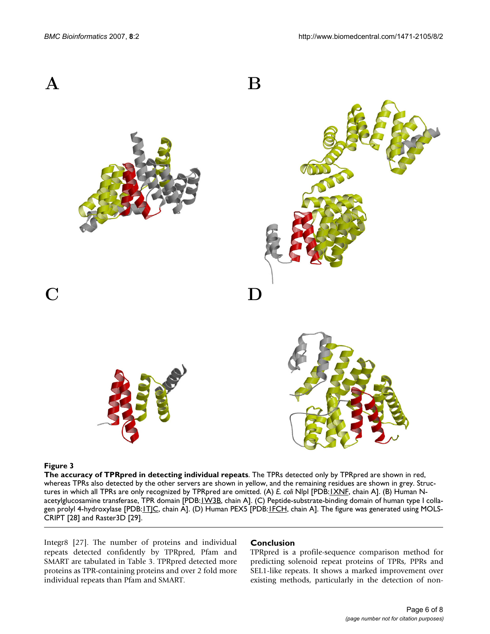

#### Figure 3

**The accuracy of TPRpred in detecting individual repeats**. The TPRs detected only by TPRpred are shown in red, whereas TPRs also detected by the other servers are shown in yellow, and the remaining residues are shown in grey. Structures in which all TPRs are only recognized by TPRpred are omitted. (A) *E. coli* NlpI [PDB:[1XNF,](http://www.rcsb.org/pdb/cgi/explore.cgi?pdbId=1XNF) chain A]. (B) Human Nacetylglucosamine transferase, TPR domain [PDB: *IW3B*, chain A]. (C) Peptide-substrate-binding domain of human type I collagen prolyl 4-hydroxylase [PDB: LTJC, chain A]. (D) Human PEX5 [PDB: LECH, chain A]. The figure was generated using MOLS-CRIPT [28] and Raster3D [29].

Integr8 [27]. The number of proteins and individual repeats detected confidently by TPRpred, Pfam and SMART are tabulated in Table 3. TPRpred detected more proteins as TPR-containing proteins and over 2 fold more individual repeats than Pfam and SMART.

#### **Conclusion**

TPRpred is a profile-sequence comparison method for predicting solenoid repeat proteins of TPRs, PPRs and SEL1-like repeats. It shows a marked improvement over existing methods, particularly in the detection of non-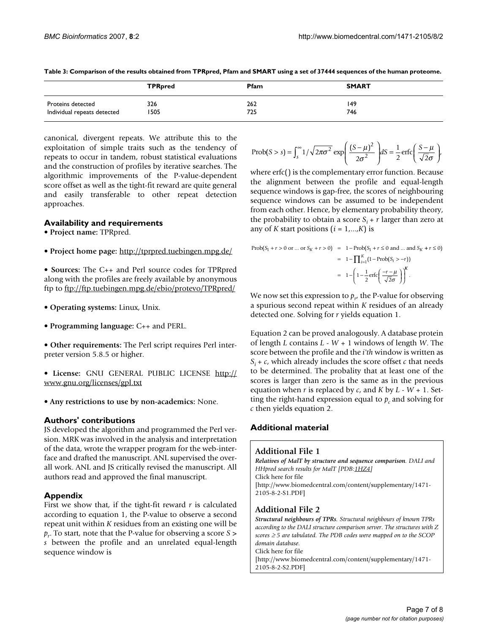|                             | <b>TPRpred</b> | <b>Pfam</b> | <b>SMART</b> |
|-----------------------------|----------------|-------------|--------------|
| Proteins detected           | 326            | 262         | 149          |
| Individual repeats detected | 1505           | 725         | 746          |

**Table 3: Comparison of the results obtained from TPRpred, Pfam and SMART using a set of 37444 sequences of the human proteome.**

canonical, divergent repeats. We attribute this to the exploitation of simple traits such as the tendency of repeats to occur in tandem, robust statistical evaluations and the construction of profiles by iterative searches. The algorithmic improvements of the P-value-dependent score offset as well as the tight-fit reward are quite general and easily transferable to other repeat detection approaches.

#### **Availability and requirements**

- **Project name:** TPRpred.
- **Project home page:** <http://tprpred.tuebingen.mpg.de/>
- **Sources:** The C++ and Perl source codes for TPRpred along with the profiles are freely available by anonymous ftp to <ftp://ftp.tuebingen.mpg.de/ebio/protevo/TPRpred/>
- **Operating systems:** Linux, Unix.
- **Programming language:** C++ and PERL.
- **Other requirements:** The Perl script requires Perl interpreter version 5.8.5 or higher.

• **License:** GNU GENERAL PUBLIC LICENSE [http://](http://www.gnu.org/licenses/gpl.txt) [www.gnu.org/licenses/gpl.txt](http://www.gnu.org/licenses/gpl.txt)

• **Any restrictions to use by non-academics:** None.

#### **Authors' contributions**

JS developed the algorithm and programmed the Perl version. MRK was involved in the analysis and interpretation of the data, wrote the wrapper program for the web-interface and drafted the manuscript. ANL supervised the overall work. ANL and JS critically revised the manuscript. All authors read and approved the final manuscript.

# **Appendix**

First we show that, if the tight-fit reward *r* is calculated according to equation 1, the P-value to observe a second repeat unit within *K* residues from an existing one will be *pr*. To start, note that the P-value for observing a score *S* > *s* between the profile and an unrelated equal-length sequence window is

$$
\text{Prob}(S > s) = \int_{s}^{\infty} \frac{1}{\sqrt{2\pi\sigma^2}} \exp\left(\frac{(S-\mu)^2}{2\sigma^2}\right) dS = \frac{1}{2} \text{erfc}\left(\frac{S-\mu}{\sqrt{2}\sigma}\right),
$$

where erfc() is the complementary error function. Because the alignment between the profile and equal-length sequence windows is gap-free, the scores of neighbouring sequence windows can be assumed to be independent from each other. Hence, by elementary probability theory, the probability to obtain a score  $S_i + r$  larger than zero at any of *K* start positions  $(i = 1,...,K)$  is

$$
\begin{aligned} \text{Prob}(S_1 + r > 0 \text{ or } \dots \text{ or } S_K + r > 0) &= 1 - \text{Prob}(S_1 + r \le 0 \text{ and } \dots \text{ and } S_K + r \le 0) \\ &= 1 - \prod_{i=1}^K (1 - \text{Prob}(S_i > -r)) \\ &= 1 - \left( 1 - \frac{1}{2} \text{erfc} \left( \frac{-r - \mu}{\sqrt{2}\sigma} \right) \right)^K . \end{aligned}
$$

We now set this expression to  $p_{r'}$  the P-value for observing a spurious second repeat within *K* residues of an already detected one. Solving for *r* yields equation 1.

Equation 2 can be proved analogously. A database protein of length *L* contains *L* - *W* + 1 windows of length *W*. The score between the profile and the *i'th* window is written as  $S_i + c$ , which already includes the score offset *c* that needs to be determined. The probality that at least one of the scores is larger than zero is the same as in the previous equation when *r* is replaced by *c*, and *K* by *L* - *W* + 1. Setting the right-hand expression equal to  $p_c$  and solving for *c* then yields equation 2.

# **Additional material**

#### **Additional File 1**

*Relatives of MalT by structure and sequence comparison. DALI and HHpred search results for MalT [PDB[:1HZ4\]](http://www.rcsb.org/pdb/cgi/explore.cgi?pdbId=1HZ4)* Click here for file [\[http://www.biomedcentral.com/content/supplementary/1471-](http://www.biomedcentral.com/content/supplementary/1471-2105-8-2-S1.PDF) 2105-8-2-S1.PDF]

# **Additional File 2**

*Structural neighbours of TPRs. Structural neighbours of known TPRs according to the DALI structure comparison server. The structures with Z scores* ≥ *5 are tabulated. The PDB codes were mapped on to the SCOP domain database.* Click here for file [\[http://www.biomedcentral.com/content/supplementary/1471-](http://www.biomedcentral.com/content/supplementary/1471-2105-8-2-S2.PDF) 2105-8-2-S2.PDF]